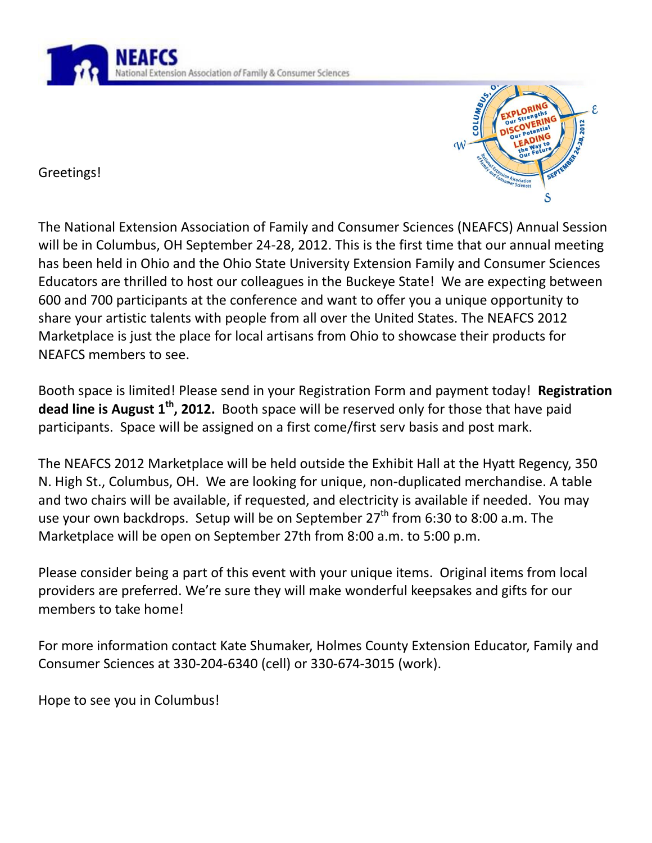

Greetings!



The National Extension Association of Family and Consumer Sciences (NEAFCS) Annual Session will be in Columbus, OH September 24-28, 2012. This is the first time that our annual meeting has been held in Ohio and the Ohio State University Extension Family and Consumer Sciences Educators are thrilled to host our colleagues in the Buckeye State! We are expecting between 600 and 700 participants at the conference and want to offer you a unique opportunity to share your artistic talents with people from all over the United States. The NEAFCS 2012 Marketplace is just the place for local artisans from Ohio to showcase their products for NEAFCS members to see.

Booth space is limited! Please send in your Registration Form and payment today! **Registration dead line is August 1<sup>th</sup>, 2012.** Booth space will be reserved only for those that have paid participants. Space will be assigned on a first come/first serv basis and post mark.

The NEAFCS 2012 Marketplace will be held outside the Exhibit Hall at the Hyatt Regency, 350 N. High St., Columbus, OH. We are looking for unique, non-duplicated merchandise. A table and two chairs will be available, if requested, and electricity is available if needed. You may use your own backdrops. Setup will be on September  $27<sup>th</sup>$  from 6:30 to 8:00 a.m. The Marketplace will be open on September 27th from 8:00 a.m. to 5:00 p.m.

Please consider being a part of this event with your unique items. Original items from local providers are preferred. We're sure they will make wonderful keepsakes and gifts for our members to take home!

For more information contact Kate Shumaker, Holmes County Extension Educator, Family and Consumer Sciences at 330-204-6340 (cell) or 330-674-3015 (work).

Hope to see you in Columbus!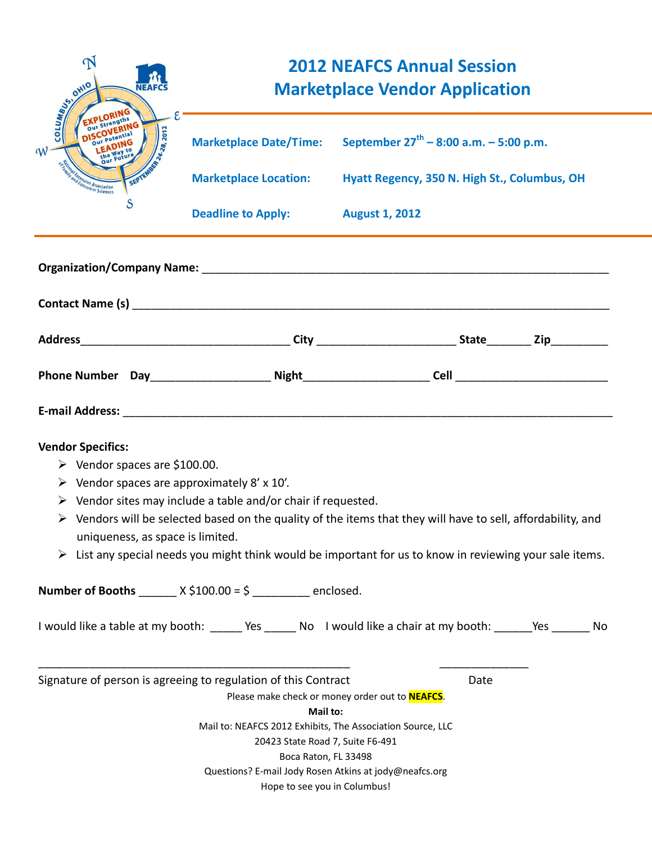| $\Delta$<br>COLUMBIAS<br><b>NEAFCS</b><br>2012                                                                                                                             | <b>2012 NEAFCS Annual Session</b><br><b>Marketplace Vendor Application</b>                                                                                                                                                                                                                                            |                                                                      |      |  |  |
|----------------------------------------------------------------------------------------------------------------------------------------------------------------------------|-----------------------------------------------------------------------------------------------------------------------------------------------------------------------------------------------------------------------------------------------------------------------------------------------------------------------|----------------------------------------------------------------------|------|--|--|
|                                                                                                                                                                            |                                                                                                                                                                                                                                                                                                                       | Marketplace Date/Time: September $27^{th} - 8:00$ a.m. $- 5:00$ p.m. |      |  |  |
| n <sub>sion</sub><br>onsumer Sciences                                                                                                                                      | <b>Marketplace Location:</b>                                                                                                                                                                                                                                                                                          | Hyatt Regency, 350 N. High St., Columbus, OH                         |      |  |  |
| S                                                                                                                                                                          | Deadline to Apply: August 1, 2012                                                                                                                                                                                                                                                                                     |                                                                      |      |  |  |
|                                                                                                                                                                            |                                                                                                                                                                                                                                                                                                                       |                                                                      |      |  |  |
|                                                                                                                                                                            |                                                                                                                                                                                                                                                                                                                       |                                                                      |      |  |  |
|                                                                                                                                                                            |                                                                                                                                                                                                                                                                                                                       |                                                                      |      |  |  |
|                                                                                                                                                                            |                                                                                                                                                                                                                                                                                                                       |                                                                      |      |  |  |
| <b>Vendor Specifics:</b><br>$\triangleright$ Vendor spaces are \$100.00.<br>$\triangleright$ Vendor spaces are approximately 8' x 10'.<br>uniqueness, as space is limited. | $\triangleright$ Vendor sites may include a table and/or chair if requested.<br>$\triangleright$ Vendors will be selected based on the quality of the items that they will have to sell, affordability, and<br>List any special needs you might think would be important for us to know in reviewing your sale items. |                                                                      |      |  |  |
|                                                                                                                                                                            | <b>Number of Booths</b> _______ $X \xi 100.00 = \xi$ _________ enclosed.                                                                                                                                                                                                                                              |                                                                      |      |  |  |
|                                                                                                                                                                            | I would like a table at my booth: ______ Yes ______ No I would like a chair at my booth: ______Yes _______ No                                                                                                                                                                                                         |                                                                      |      |  |  |
|                                                                                                                                                                            | Signature of person is agreeing to regulation of this Contract<br>Mail to:<br>Mail to: NEAFCS 2012 Exhibits, The Association Source, LLC<br>20423 State Road 7, Suite F6-491<br>Boca Raton, FL 33498<br>Questions? E-mail Jody Rosen Atkins at jody@neafcs.org                                                        | Please make check or money order out to <b>NEAFCS</b> .              | Date |  |  |